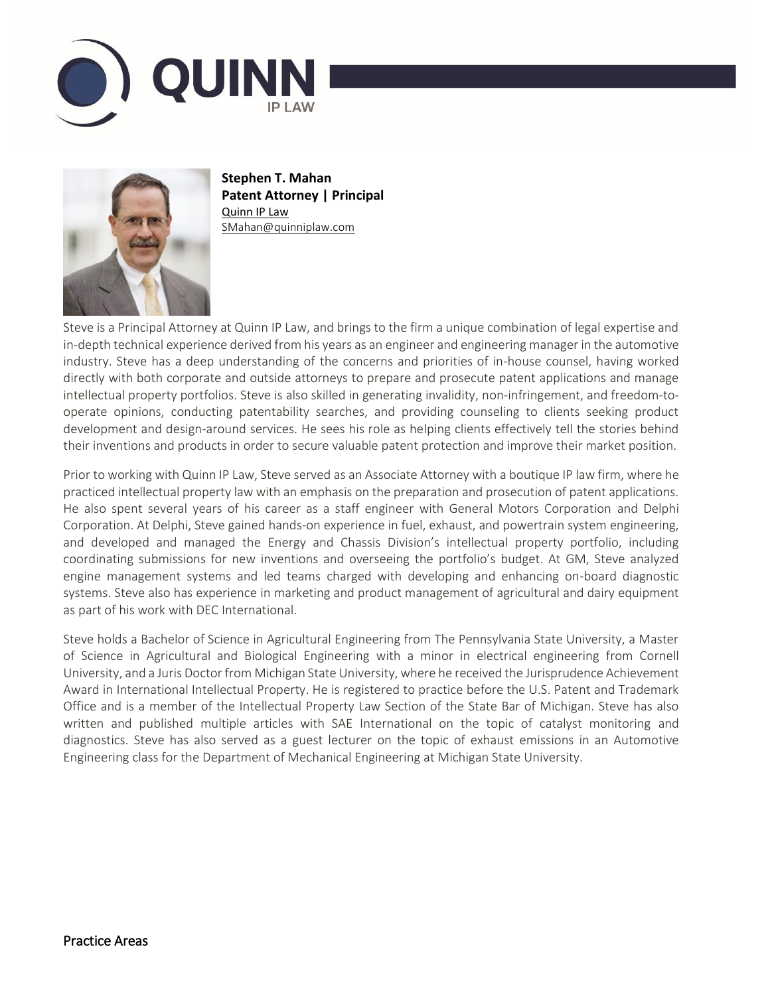



**Stephen T. Mahan Patent Attorney | Principal** [Quinn IP Law](http://www.quinniplaw.com/) SMahan@quinniplaw.com

Steve is a Principal Attorney at Quinn IP Law, and brings to the firm a unique combination of legal expertise and in-depth technical experience derived from his years as an engineer and engineering manager in the automotive industry. Steve has a deep understanding of the concerns and priorities of in-house counsel, having worked directly with both corporate and outside attorneys to prepare and prosecute patent applications and manage intellectual property portfolios. Steve is also skilled in generating invalidity, non-infringement, and freedom-tooperate opinions, conducting patentability searches, and providing counseling to clients seeking product development and design-around services. He sees his role as helping clients effectively tell the stories behind their inventions and products in order to secure valuable patent protection and improve their market position.

Prior to working with Quinn IP Law, Steve served as an Associate Attorney with a boutique IP law firm, where he practiced intellectual property law with an emphasis on the preparation and prosecution of patent applications. He also spent several years of his career as a staff engineer with General Motors Corporation and Delphi Corporation. At Delphi, Steve gained hands-on experience in fuel, exhaust, and powertrain system engineering, and developed and managed the Energy and Chassis Division's intellectual property portfolio, including coordinating submissions for new inventions and overseeing the portfolio's budget. At GM, Steve analyzed engine management systems and led teams charged with developing and enhancing on-board diagnostic systems. Steve also has experience in marketing and product management of agricultural and dairy equipment as part of his work with DEC International.

Steve holds a Bachelor of Science in Agricultural Engineering from The Pennsylvania State University, a Master of Science in Agricultural and Biological Engineering with a minor in electrical engineering from Cornell University, and a Juris Doctor from Michigan State University, where he received the Jurisprudence Achievement Award in International Intellectual Property. He is registered to practice before the U.S. Patent and Trademark Office and is a member of the Intellectual Property Law Section of the State Bar of Michigan. Steve has also written and published multiple articles with SAE International on the topic of catalyst monitoring and diagnostics. Steve has also served as a guest lecturer on the topic of exhaust emissions in an Automotive Engineering class for the Department of Mechanical Engineering at Michigan State University.